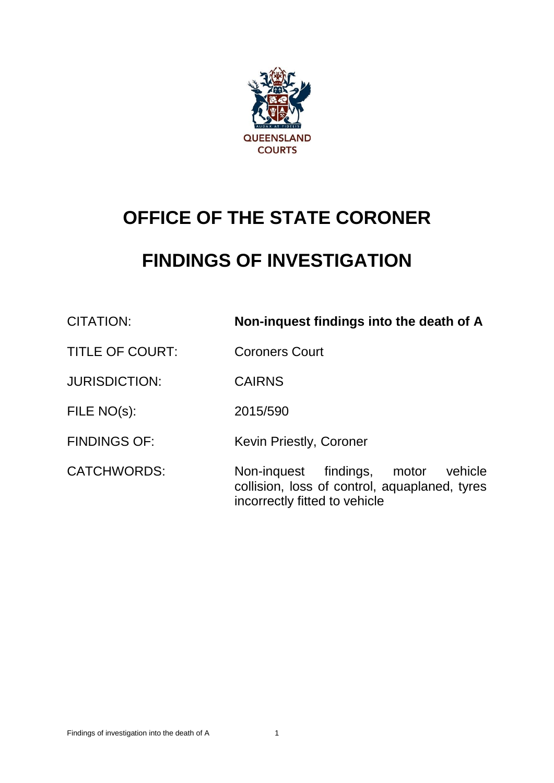

# **OFFICE OF THE STATE CORONER**

# **FINDINGS OF INVESTIGATION**

| CITATION:              | Non-inquest findings into the death of A                                                                                    |
|------------------------|-----------------------------------------------------------------------------------------------------------------------------|
| <b>TITLE OF COURT:</b> | <b>Coroners Court</b>                                                                                                       |
| <b>JURISDICTION:</b>   | <b>CAIRNS</b>                                                                                                               |
| FILE NO(s):            | 2015/590                                                                                                                    |
| <b>FINDINGS OF:</b>    | Kevin Priestly, Coroner                                                                                                     |
| <b>CATCHWORDS:</b>     | Non-inquest findings,<br>vehicle<br>motor<br>collision, loss of control, aquaplaned, tyres<br>incorrectly fitted to vehicle |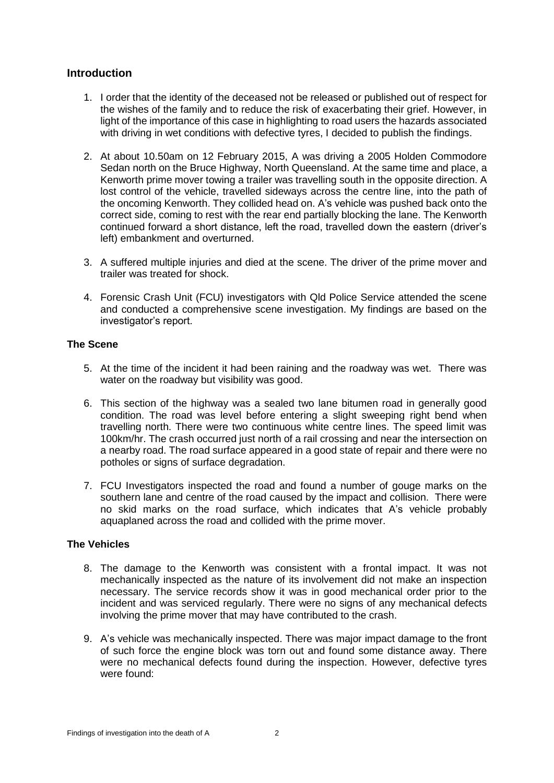# **Introduction**

- 1. I order that the identity of the deceased not be released or published out of respect for the wishes of the family and to reduce the risk of exacerbating their grief. However, in light of the importance of this case in highlighting to road users the hazards associated with driving in wet conditions with defective tyres, I decided to publish the findings.
- 2. At about 10.50am on 12 February 2015, A was driving a 2005 Holden Commodore Sedan north on the Bruce Highway, North Queensland. At the same time and place, a Kenworth prime mover towing a trailer was travelling south in the opposite direction. A lost control of the vehicle, travelled sideways across the centre line, into the path of the oncoming Kenworth. They collided head on. A's vehicle was pushed back onto the correct side, coming to rest with the rear end partially blocking the lane. The Kenworth continued forward a short distance, left the road, travelled down the eastern (driver's left) embankment and overturned.
- 3. A suffered multiple injuries and died at the scene. The driver of the prime mover and trailer was treated for shock.
- 4. Forensic Crash Unit (FCU) investigators with Qld Police Service attended the scene and conducted a comprehensive scene investigation. My findings are based on the investigator's report.

# **The Scene**

- 5. At the time of the incident it had been raining and the roadway was wet. There was water on the roadway but visibility was good.
- 6. This section of the highway was a sealed two lane bitumen road in generally good condition. The road was level before entering a slight sweeping right bend when travelling north. There were two continuous white centre lines. The speed limit was 100km/hr. The crash occurred just north of a rail crossing and near the intersection on a nearby road. The road surface appeared in a good state of repair and there were no potholes or signs of surface degradation.
- 7. FCU Investigators inspected the road and found a number of gouge marks on the southern lane and centre of the road caused by the impact and collision. There were no skid marks on the road surface, which indicates that A's vehicle probably aquaplaned across the road and collided with the prime mover.

# **The Vehicles**

- 8. The damage to the Kenworth was consistent with a frontal impact. It was not mechanically inspected as the nature of its involvement did not make an inspection necessary. The service records show it was in good mechanical order prior to the incident and was serviced regularly. There were no signs of any mechanical defects involving the prime mover that may have contributed to the crash.
- 9. A's vehicle was mechanically inspected. There was major impact damage to the front of such force the engine block was torn out and found some distance away. There were no mechanical defects found during the inspection. However, defective tyres were found: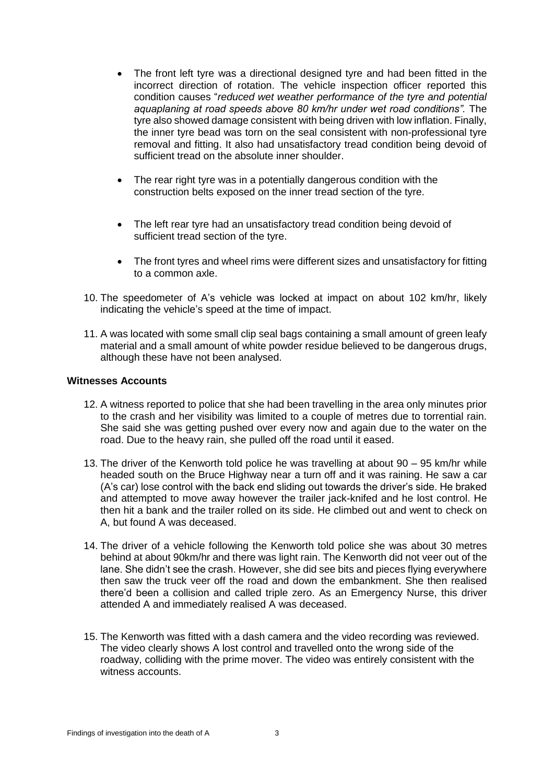- The front left tyre was a directional designed tyre and had been fitted in the incorrect direction of rotation. The vehicle inspection officer reported this condition causes "*reduced wet weather performance of the tyre and potential aquaplaning at road speeds above 80 km/hr under wet road conditions".* The tyre also showed damage consistent with being driven with low inflation. Finally, the inner tyre bead was torn on the seal consistent with non-professional tyre removal and fitting. It also had unsatisfactory tread condition being devoid of sufficient tread on the absolute inner shoulder.
- The rear right tyre was in a potentially dangerous condition with the construction belts exposed on the inner tread section of the tyre.
- The left rear tyre had an unsatisfactory tread condition being devoid of sufficient tread section of the tyre.
- The front tyres and wheel rims were different sizes and unsatisfactory for fitting to a common axle.
- 10. The speedometer of A's vehicle was locked at impact on about 102 km/hr, likely indicating the vehicle's speed at the time of impact.
- 11. A was located with some small clip seal bags containing a small amount of green leafy material and a small amount of white powder residue believed to be dangerous drugs, although these have not been analysed.

#### **Witnesses Accounts**

- 12. A witness reported to police that she had been travelling in the area only minutes prior to the crash and her visibility was limited to a couple of metres due to torrential rain. She said she was getting pushed over every now and again due to the water on the road. Due to the heavy rain, she pulled off the road until it eased.
- 13. The driver of the Kenworth told police he was travelling at about 90 95 km/hr while headed south on the Bruce Highway near a turn off and it was raining. He saw a car (A's car) lose control with the back end sliding out towards the driver's side. He braked and attempted to move away however the trailer jack-knifed and he lost control. He then hit a bank and the trailer rolled on its side. He climbed out and went to check on A, but found A was deceased.
- 14. The driver of a vehicle following the Kenworth told police she was about 30 metres behind at about 90km/hr and there was light rain. The Kenworth did not veer out of the lane. She didn't see the crash. However, she did see bits and pieces flying everywhere then saw the truck veer off the road and down the embankment. She then realised there'd been a collision and called triple zero. As an Emergency Nurse, this driver attended A and immediately realised A was deceased.
- 15. The Kenworth was fitted with a dash camera and the video recording was reviewed. The video clearly shows A lost control and travelled onto the wrong side of the roadway, colliding with the prime mover. The video was entirely consistent with the witness accounts.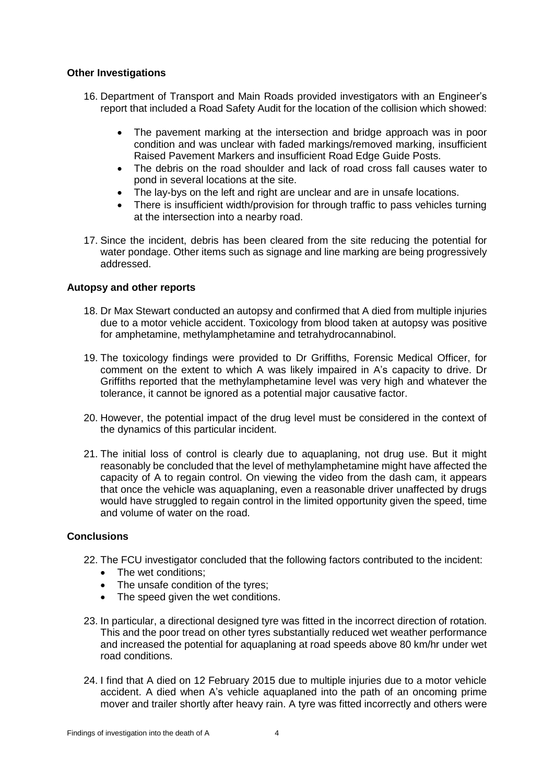## **Other Investigations**

- 16. Department of Transport and Main Roads provided investigators with an Engineer's report that included a Road Safety Audit for the location of the collision which showed:
	- The pavement marking at the intersection and bridge approach was in poor condition and was unclear with faded markings/removed marking, insufficient Raised Pavement Markers and insufficient Road Edge Guide Posts.
	- The debris on the road shoulder and lack of road cross fall causes water to pond in several locations at the site.
	- The lay-bys on the left and right are unclear and are in unsafe locations.
	- There is insufficient width/provision for through traffic to pass vehicles turning at the intersection into a nearby road.
- 17. Since the incident, debris has been cleared from the site reducing the potential for water pondage. Other items such as signage and line marking are being progressively addressed.

# **Autopsy and other reports**

- 18. Dr Max Stewart conducted an autopsy and confirmed that A died from multiple injuries due to a motor vehicle accident. Toxicology from blood taken at autopsy was positive for amphetamine, methylamphetamine and tetrahydrocannabinol.
- 19. The toxicology findings were provided to Dr Griffiths, Forensic Medical Officer, for comment on the extent to which A was likely impaired in A's capacity to drive. Dr Griffiths reported that the methylamphetamine level was very high and whatever the tolerance, it cannot be ignored as a potential major causative factor.
- 20. However, the potential impact of the drug level must be considered in the context of the dynamics of this particular incident.
- 21. The initial loss of control is clearly due to aquaplaning, not drug use. But it might reasonably be concluded that the level of methylamphetamine might have affected the capacity of A to regain control. On viewing the video from the dash cam, it appears that once the vehicle was aquaplaning, even a reasonable driver unaffected by drugs would have struggled to regain control in the limited opportunity given the speed, time and volume of water on the road.

# **Conclusions**

- 22. The FCU investigator concluded that the following factors contributed to the incident:
	- The wet conditions;
	- The unsafe condition of the tyres;
	- The speed given the wet conditions.
- 23. In particular, a directional designed tyre was fitted in the incorrect direction of rotation. This and the poor tread on other tyres substantially reduced wet weather performance and increased the potential for aquaplaning at road speeds above 80 km/hr under wet road conditions.
- 24. I find that A died on 12 February 2015 due to multiple injuries due to a motor vehicle accident. A died when A's vehicle aquaplaned into the path of an oncoming prime mover and trailer shortly after heavy rain. A tyre was fitted incorrectly and others were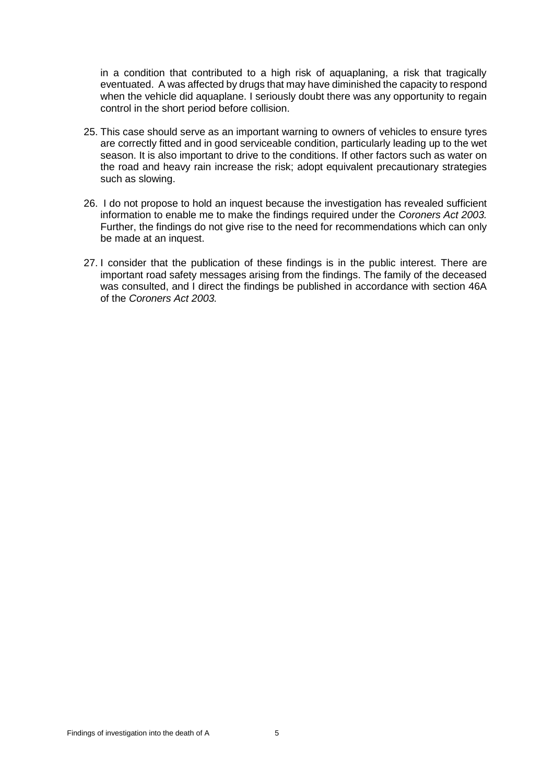in a condition that contributed to a high risk of aquaplaning, a risk that tragically eventuated. A was affected by drugs that may have diminished the capacity to respond when the vehicle did aquaplane. I seriously doubt there was any opportunity to regain control in the short period before collision.

- 25. This case should serve as an important warning to owners of vehicles to ensure tyres are correctly fitted and in good serviceable condition, particularly leading up to the wet season. It is also important to drive to the conditions. If other factors such as water on the road and heavy rain increase the risk; adopt equivalent precautionary strategies such as slowing.
- 26. I do not propose to hold an inquest because the investigation has revealed sufficient information to enable me to make the findings required under the *Coroners Act 2003.* Further, the findings do not give rise to the need for recommendations which can only be made at an inquest.
- 27. I consider that the publication of these findings is in the public interest. There are important road safety messages arising from the findings. The family of the deceased was consulted, and I direct the findings be published in accordance with section 46A of the *Coroners Act 2003.*